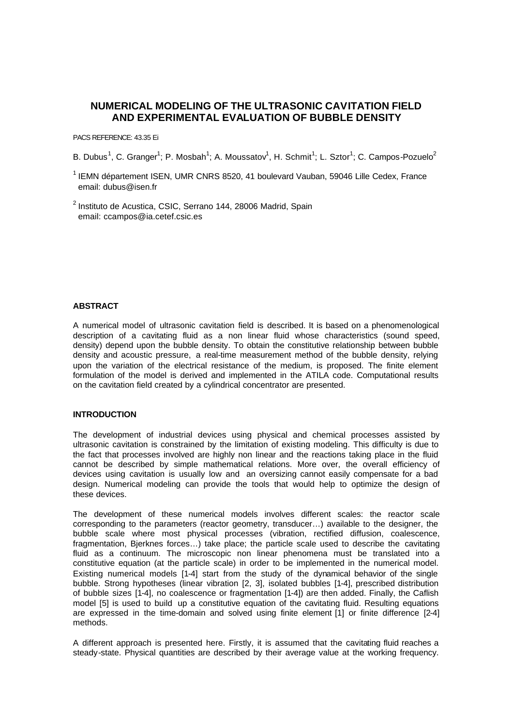# **NUMERICAL MODELING OF THE ULTRASONIC CAVITATION FIELD AND EXPERIMENTAL EVALUATION OF BUBBLE DENSITY**

### PACS REFERENCE: 43.35 Ei

B. Dubus<sup>1</sup>, C. Granger<sup>1</sup>; P. Mosbah<sup>1</sup>; A. Moussatov<sup>1</sup>, H. Schmit<sup>1</sup>; L. Sztor<sup>1</sup>; C. Campos-Pozuelo<sup>2</sup>

 $<sup>1</sup>$  IEMN département ISEN, UMR CNRS 8520, 41 boulevard Vauban, 59046 Lille Cedex, France</sup> email: dubus@isen.fr

 $2$  Instituto de Acustica, CSIC, Serrano 144, 28006 Madrid, Spain email: ccampos@ia.cetef.csic.es

# **ABSTRACT**

A numerical model of ultrasonic cavitation field is described. It is based on a phenomenological description of a cavitating fluid as a non linear fluid whose characteristics (sound speed, density) depend upon the bubble density. To obtain the constitutive relationship between bubble density and acoustic pressure, a real-time measurement method of the bubble density, relying upon the variation of the electrical resistance of the medium, is proposed. The finite element formulation of the model is derived and implemented in the ATILA code. Computational results on the cavitation field created by a cylindrical concentrator are presented.

### **INTRODUCTION**

The development of industrial devices using physical and chemical processes assisted by ultrasonic cavitation is constrained by the limitation of existing modeling. This difficulty is due to the fact that processes involved are highly non linear and the reactions taking place in the fluid cannot be described by simple mathematical relations. More over, the overall efficiency of devices using cavitation is usually low and an oversizing cannot easily compensate for a bad design. Numerical modeling can provide the tools that would help to optimize the design of these devices.

The development of these numerical models involves different scales: the reactor scale corresponding to the parameters (reactor geometry, transducer…) available to the designer, the bubble scale where most physical processes (vibration, rectified diffusion, coalescence, fragmentation, Bjerknes forces…) take place; the particle scale used to describe the cavitating fluid as a continuum. The microscopic non linear phenomena must be translated into a constitutive equation (at the particle scale) in order to be implemented in the numerical model. Existing numerical models [1-4] start from the study of the dynamical behavior of the single bubble. Strong hypotheses (linear vibration [2, 3], isolated bubbles [1-4], prescribed distribution of bubble sizes [1-4], no coalescence or fragmentation [1-4]) are then added. Finally, the Caflish model [5] is used to build up a constitutive equation of the cavitating fluid. Resulting equations are expressed in the time-domain and solved using finite element [1] or finite difference [2-4] methods.

A different approach is presented here. Firstly, it is assumed that the cavitating fluid reaches a steady-state. Physical quantities are described by their average value at the working frequency.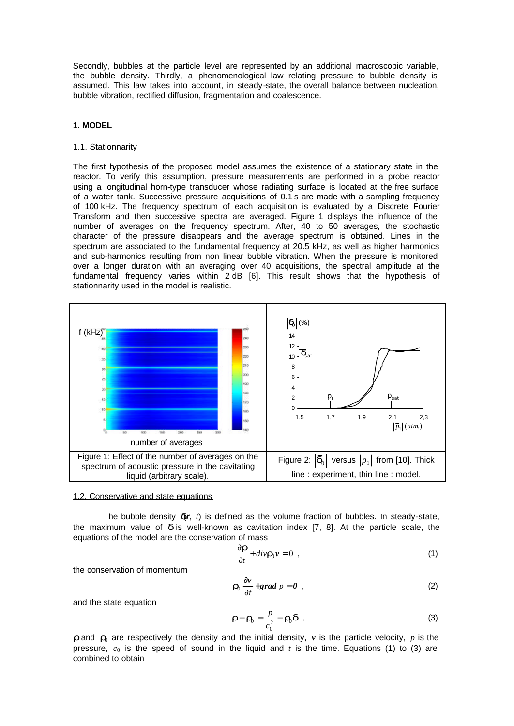Secondly, bubbles at the particle level are represented by an additional macroscopic variable, the bubble density. Thirdly, a phenomenological law relating pressure to bubble density is assumed. This law takes into account, in steady-state, the overall balance between nucleation, bubble vibration, rectified diffusion, fragmentation and coalescence.

### **1. MODEL**

### 1.1. Stationnarity

The first hypothesis of the proposed model assumes the existence of a stationary state in the reactor. To verify this assumption, pressure measurements are performed in a probe reactor using a longitudinal horn-type transducer whose radiating surface is located at the free surface of a water tank. Successive pressure acquisitions of 0.1 s are made with a sampling frequency of 100 kHz. The frequency spectrum of each acquisition is evaluated by a Discrete Fourier Transform and then successive spectra are averaged. Figure 1 displays the influence of the number of averages on the frequency spectrum. After, 40 to 50 averages, the stochastic character of the pressure disappears and the average spectrum is obtained. Lines in the spectrum are associated to the fundamental frequency at 20.5 kHz, as well as higher harmonics and sub-harmonics resulting from non linear bubble vibration. When the pressure is monitored over a longer duration with an averaging over 40 acquisitions, the spectral amplitude at the fundamental frequency varies within 2 dB [6]. This result shows that the hypothesis of stationnarity used in the model is realistic.



#### 1.2. Conservative and state equations

The bubble density  $dr$ ,  $t$ ) is defined as the volume fraction of bubbles. In steady-state, the maximum value of *d* is well-known as cavitation index [7, 8]. At the particle scale, the equations of the model are the conservation of mass

$$
\frac{\partial \boldsymbol{r}}{\partial t} + \operatorname{div} \boldsymbol{r}_0 \boldsymbol{v} = 0 \quad , \tag{1}
$$

the conservation of momentum

$$
r_0 \frac{\partial v}{\partial t} + grad \ p = 0 \quad , \tag{2}
$$

and the state equation

$$
\boldsymbol{r} - \boldsymbol{r}_0 = \frac{p}{c_0^2} - \boldsymbol{r}_0 \boldsymbol{d} \tag{3}
$$

*r* and  $r_0$  are respectively the density and the initial density, *v* is the particle velocity, *p* is the pressure,  $c_0$  is the speed of sound in the liquid and *t* is the time. Equations (1) to (3) are combined to obtain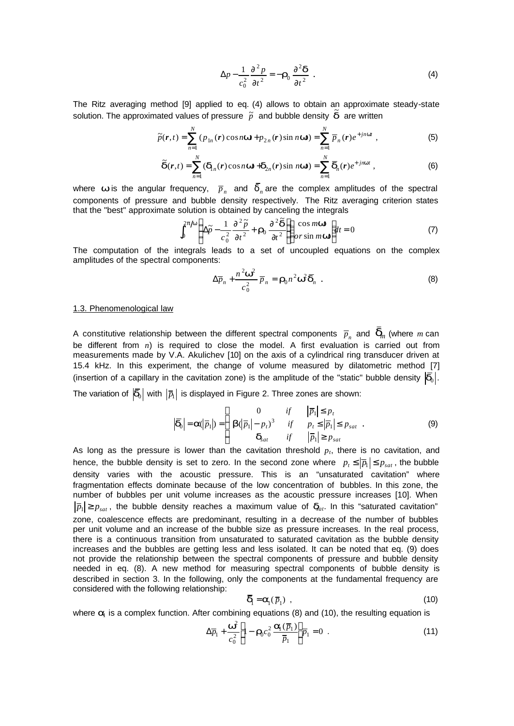$$
\Delta p - \frac{1}{c_0^2} \frac{\partial^2 p}{\partial t^2} = -\mathbf{r}_0 \frac{\partial^2 \mathbf{d}}{\partial t^2} .
$$
 (4)

The Ritz averaging method [9] applied to eq. (4) allows to obtain an approximate steady-state solution. The approximated values of pressure  $\tilde{p}$  and bubble density  $\tilde{d}$  are written

$$
\widetilde{p}(\boldsymbol{r},t) = \sum_{n=1}^{N} \left( p_{1n}(\boldsymbol{r}) \cos n\boldsymbol{w} + p_{2n}(\boldsymbol{r}) \sin n\boldsymbol{w} \right) = \sum_{n=1}^{N} \overline{p}_{n}(\boldsymbol{r}) e^{+j n \boldsymbol{w} t} , \qquad (5)
$$

$$
\widetilde{\boldsymbol{d}}(\boldsymbol{r},t) = \sum_{n=1}^{N} (\boldsymbol{d}_{1n}(\boldsymbol{r}) \cos n \boldsymbol{w} + \boldsymbol{d}_{2n}(\boldsymbol{r}) \sin n \boldsymbol{w}) = \sum_{n=1}^{N} \boldsymbol{\overline{d}}_{n}(\boldsymbol{r}) e^{+j n \boldsymbol{w} t}, \qquad (6)
$$

where  $\bm{w}$  is the angular frequency,  $\bar{p}_n^{\,}$  and  $\bar{\bm{d}}_n^{\,}$  are the complex amplitudes of the spectral components of pressure and bubble density respectively. The Ritz averaging criterion states that the "best" approximate solution is obtained by canceling the integrals

$$
\int_0^{2p/w} \left( \Delta \tilde{p} - \frac{1}{c_0^2} \frac{\partial^2 \tilde{p}}{\partial t^2} + \mathbf{r}_0 \frac{\partial^2 \tilde{\mathbf{d}}}{\partial t^2} \right) \begin{pmatrix} \cos m \mathbf{w} \\ or \sin m \mathbf{w} \end{pmatrix} dt = 0
$$
 (7)

The computation of the integrals leads to a set of uncoupled equations on the complex amplitudes of the spectral components:

$$
\Delta \overline{p}_n + \frac{n^2 \mathbf{w}^2}{c_0^2} \overline{p}_n = \mathbf{r}_0 n^2 \mathbf{w}^2 \overline{\mathbf{d}}_n \tag{8}
$$

#### 1.3. Phenomenological law

A constitutive relationship between the different spectral components  $\bar{p}_n$  and  $\bar{\bm{d}}_n$  (where  $m$  can be different from *n*) is required to close the model. A first evaluation is carried out from measurements made by V.A. Akulichev [10] on the axis of a cylindrical ring transducer driven at 15.4 kHz. In this experiment, the change of volume measured by dilatometric method [7] (insertion of a capillary in the cavitation zone) is the amplitude of the "static" bubble density  $|\vec{d}_0|$ .

The variation of  $|\bm{\bar{d}}_0|$  with  $|\bar{p}_1|$  is displayed in Figure 2. Three zones are shown:

$$
\left|\overline{\boldsymbol{d}}_0\right| = \boldsymbol{a}(\left|\overline{p}_1\right|) = \left\{\begin{array}{ccc} 0 & \text{if} & \left|\overline{p}_1\right| \leq p_t \\ \boldsymbol{b}(\left|\overline{p}_1\right| - p_t)^3 & \text{if} & p_t \leq \left|\overline{p}_1\right| \leq p_{sat} \\ \boldsymbol{d}_{sat} & \text{if} & \left|\overline{p}_1\right| \geq p_{sat} \end{array}\right. \tag{9}
$$

As long as the pressure is lower than the cavitation threshold  $p_t$ , there is no cavitation, and hence, the bubble density is set to zero. In the second zone where  $p_t \leq |\overline{p}_1| \leq p_{sat}$ , the bubble density varies with the acoustic pressure. This is an "unsaturated cavitation" where fragmentation effects dominate because of the low concentration of bubbles. In this zone, the number of bubbles per unit volume increases as the acoustic pressure increases [10]. When  $|\overline{p}_1| \ge p_{\text{sat}}$ , the bubble density reaches a maximum value of  $\mathbf{d}_{\text{at}}$ . In this "saturated cavitation" zone, coalescence effects are predominant, resulting in a decrease of the number of bubbles per unit volume and an increase of the bubble size as pressure increases. In the real process, there is a continuous transition from unsaturated to saturated cavitation as the bubble density increases and the bubbles are getting less and less isolated. It can be noted that eq. (9) does not provide the relationship between the spectral components of pressure and bubble density needed in eq. (8). A new method for measuring spectral components of bubble density is described in section 3. In the following, only the components at the fundamental frequency are considered with the following relationship:

$$
\overline{\boldsymbol{d}}_1 = \boldsymbol{a}_1(\overline{p}_1) \tag{10}
$$

where *a*<sub>1</sub> is a complex function. After combining equations (8) and (10), the resulting equation is

$$
\Delta \overline{p}_1 + \frac{\mathbf{w}^2}{c_0^2} \left[ 1 - \mathbf{r}_0^2 c_0^2 \frac{\mathbf{a}_1(\overline{p}_1)}{\overline{p}_1} \right] \overline{p}_1 = 0 \quad . \tag{11}
$$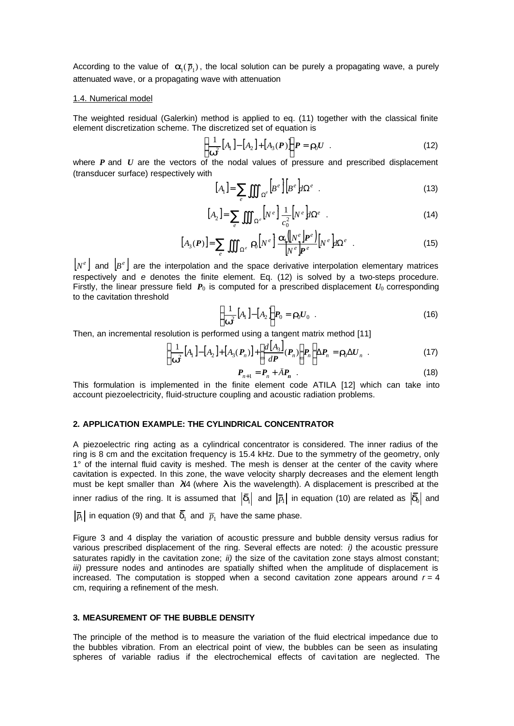According to the value of  $a_{\text{l}}(\bar p_{\text{l}})$ , the local solution can be purely a propagating wave, a purely attenuated wave, or a propagating wave with attenuation

### 1.4. Numerical model

The weighted residual (Galerkin) method is applied to eq. (11) together with the classical finite element discretization scheme. The discretized set of equation is

$$
\left\{\frac{1}{\mathbf{w}^2}\left[A_1\right] - \left[A_2\right] + \left[A_3(P)\right]\right\} P = \mathbf{r}_0 U \quad . \tag{12}
$$

where *P* and *U* are the vectors of the nodal values of pressure and prescribed displacement (transducer surface) respectively with

$$
[A_1] = \sum_e \iiint_{\Omega^e} \left[ B^e \right] \left[ B^e \right] d\Omega^e \quad . \tag{13}
$$

$$
[A_2] = \sum_{e} \iiint_{\Omega^e} \left[ N^e \right] \frac{1}{c_0^2} \left[ N^e \right] d\Omega^e \quad . \tag{14}
$$

$$
[A_3(P)] = \sum_e \iiint_{\Omega^e} \mathbf{r}_0 \left[ N^e \right] \frac{\mathbf{a}_1 \left[ N^e \right] P^e}{N^e P^e} \left[ N^e \right] d\Omega^e \quad . \tag{15}
$$

 $|N^e|$  and  $|B^e|$  are the interpolation and the space derivative interpolation elementary matrices respectively and *e* denotes the finite element. Eq. (12) is solved by a two-steps procedure. Firstly, the linear pressure field  $P_0$  is computed for a prescribed displacement  $U_0$  corresponding to the cavitation threshold

$$
\left\{\frac{1}{\boldsymbol{w}^2}\left[A_1\right]-\left[A_2\right]\right\}P_0=\boldsymbol{r}_0U_0\quad.\tag{16}
$$

Then, an incremental resolution is performed using a tangent matrix method [11]

$$
\left\{\frac{1}{\boldsymbol{w}^2}\left[A_1\right]-\left[A_2\right]+\left[A_3(P_n)\right]+\left[\frac{d\left[A_3\right]}{d\boldsymbol{P}}(P_n)\right]P_n\right\}\Delta P_n = \boldsymbol{r}_0\Delta U_n \quad . \tag{17}
$$

$$
P_{n+1} = P_n + \ddot{A}P_n \quad . \tag{18}
$$

This formulation is implemented in the finite element code ATILA [12] which can take into account piezoelectricity, fluid-structure coupling and acoustic radiation problems.

## **2. APPLICATION EXAMPLE: THE CYLINDRICAL CONCENTRATOR**

A piezoelectric ring acting as a cylindrical concentrator is considered. The inner radius of the ring is 8 cm and the excitation frequency is 15.4 kHz. Due to the symmetry of the geometry, only 1° of the internal fluid cavity is meshed. The mesh is denser at the center of the cavity where cavitation is expected. In this zone, the wave velocity sharply decreases and the element length must be kept smaller than *l*/4 (where *l* is the wavelength). A displacement is prescribed at the inner radius of the ring. It is assumed that  $\ket{\bar{\bm{d}}_1}$  and  $\ket{\bar{p}_1}$  in equation (10) are related as  $\ket{\bar{\bm{d}}_0}$  and

 $\overline{p}_{\!\scriptscriptstyle 1}|$  in equation (9) and that  $\textbf{\textit{d}}_{\scriptscriptstyle 1}$  and  $\overline{p}_{\scriptscriptstyle 1}$  have the same phase.

Figure 3 and 4 display the variation of acoustic pressure and bubble density versus radius for various prescribed displacement of the ring. Several effects are noted: *i)* the acoustic pressure saturates rapidly in the cavitation zone; *ii)* the size of the cavitation zone stays almost constant; *iii)* pressure nodes and antinodes are spatially shifted when the amplitude of displacement is increased. The computation is stopped when a second cavitation zone appears around  $r = 4$ cm, requiring a refinement of the mesh.

# **3. MEASUREMENT OF THE BUBBLE DENSITY**

The principle of the method is to measure the variation of the fluid electrical impedance due to the bubbles vibration. From an electrical point of view, the bubbles can be seen as insulating spheres of variable radius if the electrochemical effects of cavi tation are neglected. The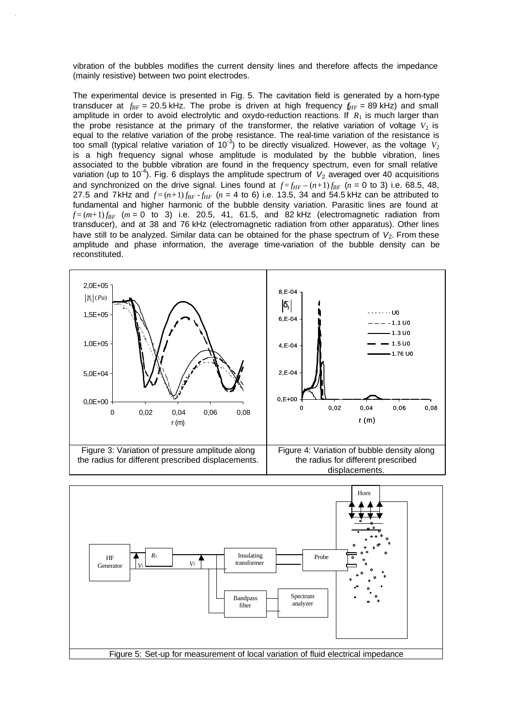vibration of the bubbles modifies the current density lines and therefore affects the impedance (mainly resistive) between two point electrodes.

The experimental device is presented in Fig. 5. The cavitation field is generated by a horn-type transducer at  $f_{BF}$  = 20.5 kHz. The probe is driven at high frequency  $f_{HF}$  = 89 kHz) and small amplitude in order to avoid electrolytic and oxydo-reduction reactions. If  $R_1$  is much larger than the probe resistance at the primary of the transformer, the relative variation of voltage  $V_2$  is equal to the relative variation of the probe resistance. The real-time variation of the resistance is too small (typical relative variation of 10<sup>-3</sup>) to be directly visualized. However, as the voltage  $V_2$ is a high frequency signal whose amplitude is modulated by the bubble vibration, lines associated to the bubble vibration are found in the frequency spectrum, even for small relative variation (up to 10<sup>-4</sup>). Fig. 6 displays the amplitude spectrum of V<sub>2</sub> averaged over 40 acquisitions and synchronized on the drive signal. Lines found at  $f = f_{HF} - (n+1) f_{BF}$  ( $n = 0$  to 3) i.e. 68.5, 48, 27.5 and 7kHz and  $f = (n+1) f_{BF} - f_{HF}$  ( $n = 4$  to 6) i.e. 13.5, 34 and 54.5 kHz can be attributed to fundamental and higher harmonic of the bubble density variation. Parasitic lines are found at  $f = (m+1) f_{RF}$   $(m = 0$  to 3) i.e. 20.5, 41, 61.5, and 82 kHz (electromagnetic radiation from transducer), and at 38 and 76 kHz (electromagnetic radiation from other apparatus). Other lines have still to be analyzed. Similar data can be obtained for the phase spectrum of V<sub>2</sub>. From these amplitude and phase information, the average time-variation of the bubble density can be reconstituted.